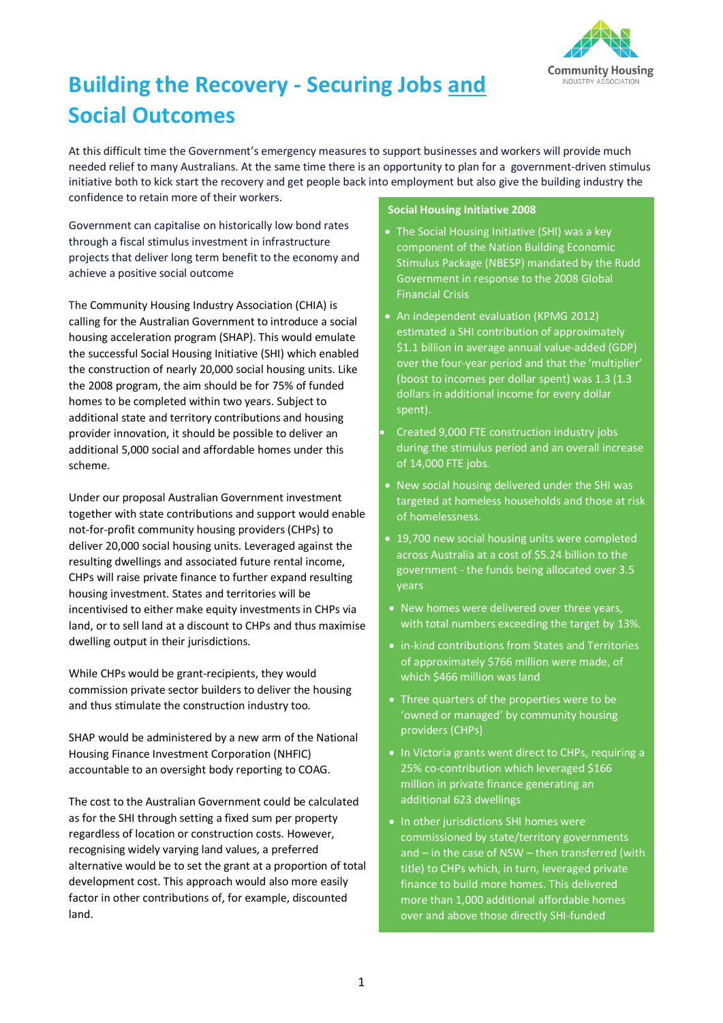

# **Building the Recovery - Securing Jobs and Social Outcomes**

At this difficult time the Government's emergency measures to support businesses and workers will provide much needed relief to many Australians. At the same time there is an opportunity to plan for a government-driven stimulus initiative both to kick start the recovery and get people back into employment but also give the building industry the confidence to retain more of their workers.

Government can capitalise on historically low bond rates through a fiscal stimulus investment in infrastructure projects that deliver long term benefit to the economy and achieve a positive social outcome

The Community Housing Industry Association (CHIA) is calling for the Australian Government to introduce a social housing acceleration program (SHAP). This would emulate the successful Social Housing Initiative (SHI) which enabled the construction of nearly 20,000 social housing units. Like the 2008 program, the aim should be for 75% of funded homes to be completed within two years. Subject to additional state and territory contributions and housing provider innovation, it should be possible to deliver an additional 5,000 social and affordable homes under this scheme.

Under our proposal Australian Government investment together with state contributions and support would enable not-for-profit community housing providers (CHPs) to deliver 20,000 social housing units. Leveraged against the resulting dwellings and associated future rental income, CHPs will raise private finance to further expand resulting housing investment. States and territories will be incentivised to either make equity investments in CHPs via land, or to sell land at a discount to CHPs and thus maximise dwelling output in their jurisdictions.

While CHPs would be grant-recipients, they would commission private sector builders to deliver the housing and thus stimulate the construction industry too.

SHAP would be administered by a new arm of the National Housing Finance Investment Corporation (NHFIC) accountable to an oversight body reporting to COAG.

The cost to the Australian Government could be calculated as for the SHI through setting a fixed sum per property regardless of location or construction costs. However, recognising widely varying land values, a preferred alternative would be to set the grant at a proportion of total development cost. This approach would also more easily factor in other contributions of, for example, discounted land.

# **Social Housing Initiative 2008**

- The Social Housing Initiative (SHI) was a key component of the Nation Building Economic Stimulus Package (NBESP) mandated by the Rudd Government in response to the 2008 Global Financial Crisis
- An independent evaluation (KPMG 2012) estimated a SHI contribution of approximately \$1.1 billion in average annual value-added (GDP) over the four-year period and that the 'multiplier' (boost to incomes per dollar spent) was 1.3 (1.3 dollars in additional income for every dollar spent).
- Created 9,000 FTE construction industry jobs during the stimulus period and an overall increase of 14,000 FTE jobs.
- New social housing delivered under the SHI was targeted at homeless households and those at risk of homelessness.
- 19,700 new social housing units were completed across Australia at a cost of \$5.24 billion to the government - the funds being allocated over 3.5 years
- New homes were delivered over three years, with total numbers exceeding the target by 13%.
- in-kind contributions from States and Territories of approximately \$766 million were made, of which \$466 million was land
- Three quarters of the properties were to be 'owned or managed' by community housing providers (CHPs)
- In Victoria grants went direct to CHPs, requiring a 25% co-contribution which leveraged \$166 million in private finance generating an additional 623 dwellings
- **In other jurisdictions SHI homes were** commissioned by state/territory governments and – in the case of NSW – then transferred (with title) to CHPs which, in turn, leveraged private finance to build more homes. This delivered more than 1,000 additional affordable homes over and above those directly SHI-funded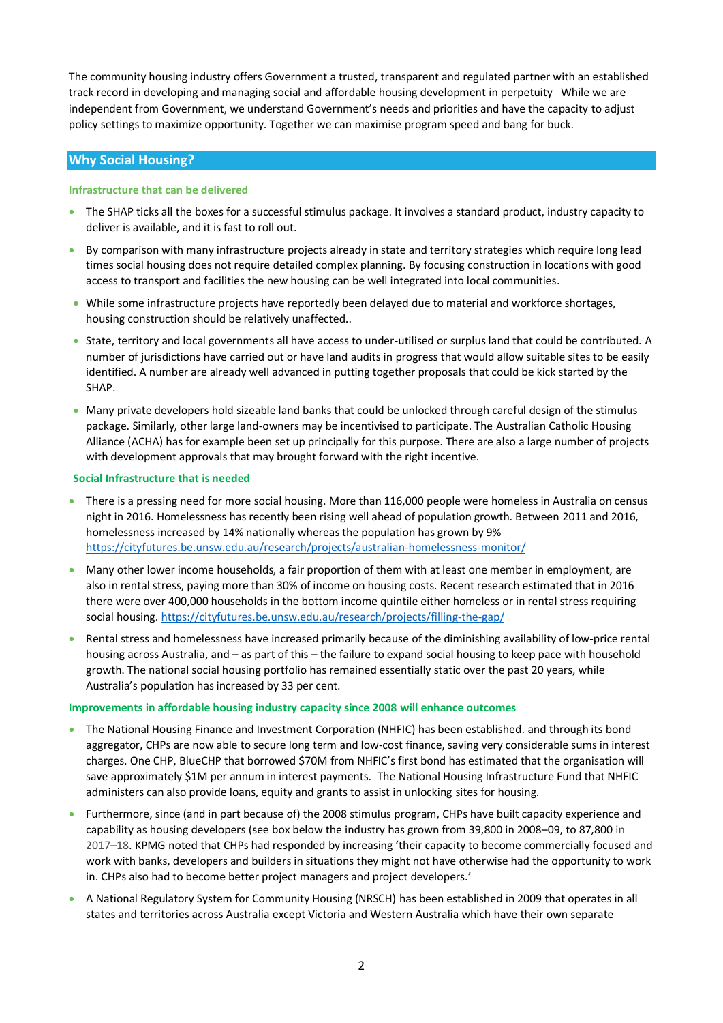The community housing industry offers Government a trusted, transparent and regulated partner with an established track record in developing and managing social and affordable housing development in perpetuity While we are independent from Government, we understand Government's needs and priorities and have the capacity to adjust policy settings to maximize opportunity. Together we can maximise program speed and bang for buck.

# **Why Social Housing?**

# **Infrastructure that can be delivered**

- The SHAP ticks all the boxes for a successful stimulus package. It involves a standard product, industry capacity to deliver is available, and it is fast to roll out.
- By comparison with many infrastructure projects already in state and territory strategies which require long lead times social housing does not require detailed complex planning. By focusing construction in locations with good access to transport and facilities the new housing can be well integrated into local communities.
- While some infrastructure projects have reportedly been delayed due to material and workforce shortages, housing construction should be relatively unaffected..
- State, territory and local governments all have access to under-utilised or surplus land that could be contributed. A number of jurisdictions have carried out or have land audits in progress that would allow suitable sites to be easily identified. A number are already well advanced in putting together proposals that could be kick started by the SHAP.
- Many private developers hold sizeable land banks that could be unlocked through careful design of the stimulus package. Similarly, other large land-owners may be incentivised to participate. The Australian Catholic Housing Alliance (ACHA) has for example been set up principally for this purpose. There are also a large number of projects with development approvals that may brought forward with the right incentive.

# **Social Infrastructure that is needed**

- There is a pressing need for more social housing. More than 116,000 people were homeless in Australia on census night in 2016. Homelessness has recently been rising well ahead of population growth. Between 2011 and 2016, homelessness increased by 14% nationally whereas the population has grown by 9% <https://cityfutures.be.unsw.edu.au/research/projects/australian-homelessness-monitor/>
- Many other lower income households, a fair proportion of them with at least one member in employment, are also in rental stress, paying more than 30% of income on housing costs. Recent research estimated that in 2016 there were over 400,000 households in the bottom income quintile either homeless or in rental stress requiring social housing. <https://cityfutures.be.unsw.edu.au/research/projects/filling-the-gap/>
- Rental stress and homelessness have increased primarily because of the diminishing availability of low-price rental housing across Australia, and – as part of this – the failure to expand social housing to keep pace with household growth. The national social housing portfolio has remained essentially static over the past 20 years, while Australia's population has increased by 33 per cent.

# **Improvements in affordable housing industry capacity since 2008 will enhance outcomes**

- The National Housing Finance and Investment Corporation (NHFIC) has been established. and through its bond aggregator, CHPs are now able to secure long term and low-cost finance, saving very considerable sums in interest charges. One CHP, BlueCHP that borrowed \$70M from NHFIC's first bond has estimated that the organisation will save approximately \$1M per annum in interest payments. The National Housing Infrastructure Fund that NHFIC administers can also provide loans, equity and grants to assist in unlocking sites for housing.
- Furthermore, since (and in part because of) the 2008 stimulus program, CHPs have built capacity experience and capability as housing developers (see box below the industry has grown from 39,800 in 2008–09, to 87,800 in 2017–18. KPMG noted that CHPs had responded by increasing 'their capacity to become commercially focused and work with banks, developers and builders in situations they might not have otherwise had the opportunity to work in. CHPs also had to become better project managers and project developers.'
- A National Regulatory System for Community Housing (NRSCH) has been established in 2009 that operates in all states and territories across Australia except Victoria and Western Australia which have their own separate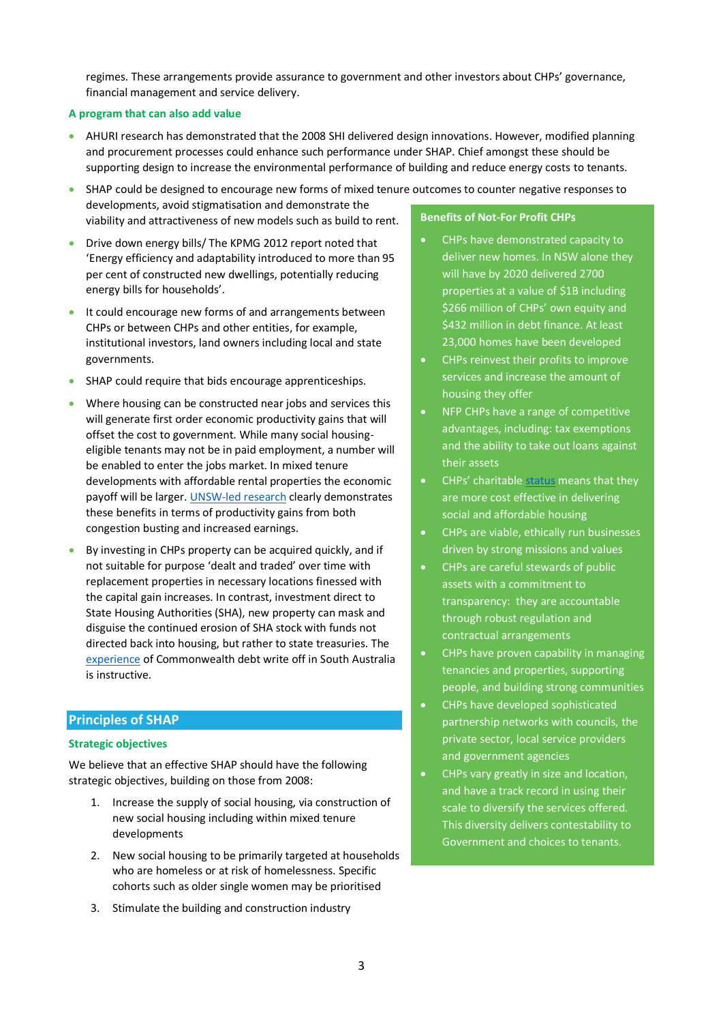regimes. These arrangements provide assurance to government and other investors about CHPs' governance, financial management and service delivery.

# **A program that can also add value**

• AHURI research has demonstrated that the 2008 SHI delivered design innovations. However, modified planning and procurement processes could enhance such performance under SHAP. Chief amongst these should be supporting design to increase the environmental performance of building and reduce energy costs to tenants.

• SHAP could be designed to encourage new forms of mixed tenure outcomes to counter negative responses to developments, avoid stigmatisation and demonstrate the viability and attractiveness of new models such as build to rent. **Benefits of Not-For Profit CHPs**

- Drive down energy bills/ The KPMG 2012 report noted that 'Energy efficiency and adaptability introduced to more than 95 per cent of constructed new dwellings, potentially reducing energy bills for households'.
- It could encourage new forms of and arrangements between CHPs or between CHPs and other entities, for example, institutional investors, land owners including local and state governments.
- SHAP could require that bids encourage apprenticeships.
- Where housing can be constructed near jobs and services this will generate first order economic productivity gains that will offset the cost to government. While many social housingeligible tenants may not be in paid employment, a number will be enabled to enter the jobs market. In mixed tenure developments with affordable rental properties the economic payoff will be larger[. UNSW-led research](https://cityfutures.be.unsw.edu.au/documents/515/Full_Report_Final_edited_logos.pdf) clearly demonstrates these benefits in terms of productivity gains from both congestion busting and increased earnings.
- By investing in CHPs property can be acquired quickly, and if not suitable for purpose 'dealt and traded' over time with replacement properties in necessary locations finessed with the capital gain increases. In contrast, investment direct to State Housing Authorities (SHA), new property can mask and disguise the continued erosion of SHA stock with funds not directed back into housing, but rather to state treasuries. The [experience](https://www.canberratimes.com.au/story/6268785/waiving-commonwealth-debt-may-not-fix-housing-problems/) of Commonwealth debt write off in South Australia is instructive.

# **Principles of SHAP**

# **Strategic objectives**

We believe that an effective SHAP should have the following strategic objectives, building on those from 2008:

- 1. Increase the supply of social housing, via construction of new social housing including within mixed tenure developments
- 2. New social housing to be primarily targeted at households who are homeless or at risk of homelessness. Specific cohorts such as older single women may be prioritised
- 3. Stimulate the building and construction industry
- CHPs have demonstrated capacity to deliver new homes. In NSW alone they will have by 2020 delivered 2700 properties at a value of \$1B including \$266 million of CHPs' own equity and \$432 million in debt finance. At least 23,000 homes have been developed
- CHPs reinvest their profits to improve services and increase the amount of housing they offer
- NFP CHPs have a range of competitive advantages, including: tax exemptions and the ability to take out loans against their assets
- CHPs' charitabl[e status](https://cityfutures.be.unsw.edu.au/research/projects/how-can-australian-build-rent-product-contribute-urban-renewal-and-affordable-housing-supply/) means that they are more cost effective in delivering social and affordable housing
- CHPs are viable, ethically run businesses driven by strong missions and values
- CHPs are careful stewards of public assets with a commitment to transparency: they are accountable through robust regulation and contractual arrangements
- CHPs have proven capability in managing tenancies and properties, supporting people, and building strong communities
- CHPs have developed sophisticated partnership networks with councils, the private sector, local service providers and government agencies
- CHPs vary greatly in size and location, and have a track record in using their scale to diversify the services offered. This diversity delivers contestability to Government and choices to tenants.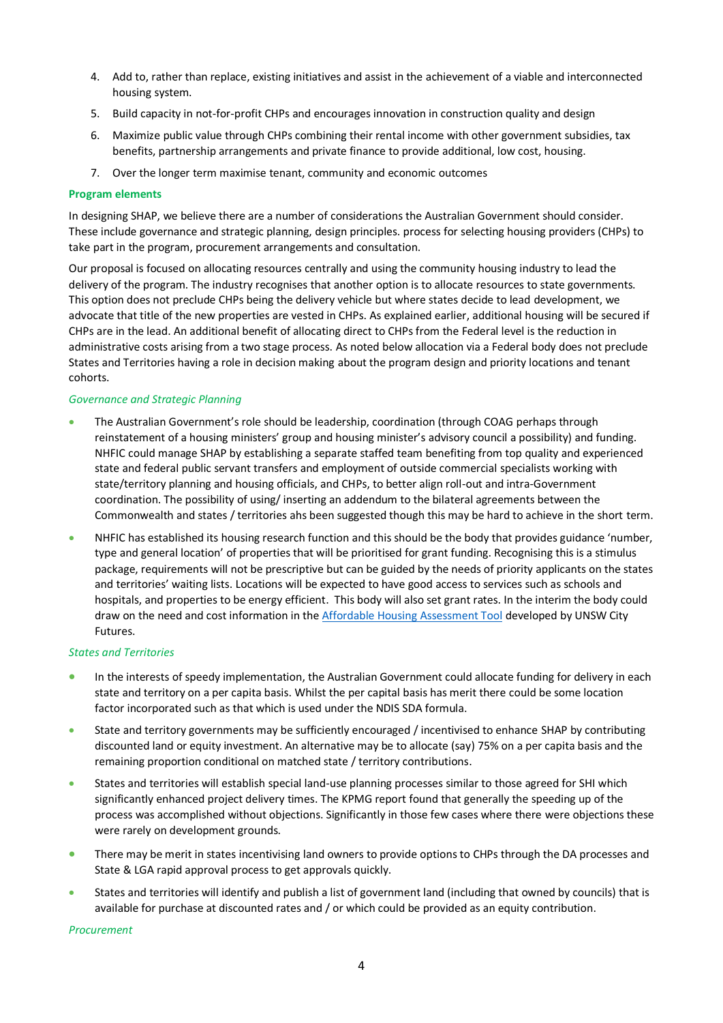- 4. Add to, rather than replace, existing initiatives and assist in the achievement of a viable and interconnected housing system.
- 5. Build capacity in not-for-profit CHPs and encourages innovation in construction quality and design
- 6. Maximize public value through CHPs combining their rental income with other government subsidies, tax benefits, partnership arrangements and private finance to provide additional, low cost, housing.
- 7. Over the longer term maximise tenant, community and economic outcomes

#### **Program elements**

In designing SHAP, we believe there are a number of considerations the Australian Government should consider. These include governance and strategic planning, design principles. process for selecting housing providers (CHPs) to take part in the program, procurement arrangements and consultation.

Our proposal is focused on allocating resources centrally and using the community housing industry to lead the delivery of the program. The industry recognises that another option is to allocate resources to state governments. This option does not preclude CHPs being the delivery vehicle but where states decide to lead development, we advocate that title of the new properties are vested in CHPs. As explained earlier, additional housing will be secured if CHPs are in the lead. An additional benefit of allocating direct to CHPs from the Federal level is the reduction in administrative costs arising from a two stage process. As noted below allocation via a Federal body does not preclude States and Territories having a role in decision making about the program design and priority locations and tenant cohorts.

# *Governance and Strategic Planning*

- The Australian Government's role should be leadership, coordination (through COAG perhaps through reinstatement of a housing ministers' group and housing minister's advisory council a possibility) and funding. NHFIC could manage SHAP by establishing a separate staffed team benefiting from top quality and experienced state and federal public servant transfers and employment of outside commercial specialists working with state/territory planning and housing officials, and CHPs, to better align roll-out and intra-Government coordination. The possibility of using/ inserting an addendum to the bilateral agreements between the Commonwealth and states / territories ahs been suggested though this may be hard to achieve in the short term.
- NHFIC has established its housing research function and this should be the body that provides guidance 'number, type and general location' of properties that will be prioritised for grant funding. Recognising this is a stimulus package, requirements will not be prescriptive but can be guided by the needs of priority applicants on the states and territories' waiting lists. Locations will be expected to have good access to services such as schools and hospitals, and properties to be energy efficient. This body will also set grant rates. In the interim the body could draw on the need and cost information in the [Affordable Housing Assessment Tool](https://www.ahuri.edu.au/research/final-reports/293) developed by UNSW City Futures.

# *States and Territories*

- In the interests of speedy implementation, the Australian Government could allocate funding for delivery in each state and territory on a per capita basis. Whilst the per capital basis has merit there could be some location factor incorporated such as that which is used under the NDIS SDA formula.
- State and territory governments may be sufficiently encouraged / incentivised to enhance SHAP by contributing discounted land or equity investment. An alternative may be to allocate (say) 75% on a per capita basis and the remaining proportion conditional on matched state / territory contributions.
- States and territories will establish special land-use planning processes similar to those agreed for SHI which significantly enhanced project delivery times. The KPMG report found that generally the speeding up of the process was accomplished without objections. Significantly in those few cases where there were objections these were rarely on development grounds.
- There may be merit in states incentivising land owners to provide options to CHPs through the DA processes and State & LGA rapid approval process to get approvals quickly.
- States and territories will identify and publish a list of government land (including that owned by councils) that is available for purchase at discounted rates and / or which could be provided as an equity contribution.

*Procurement*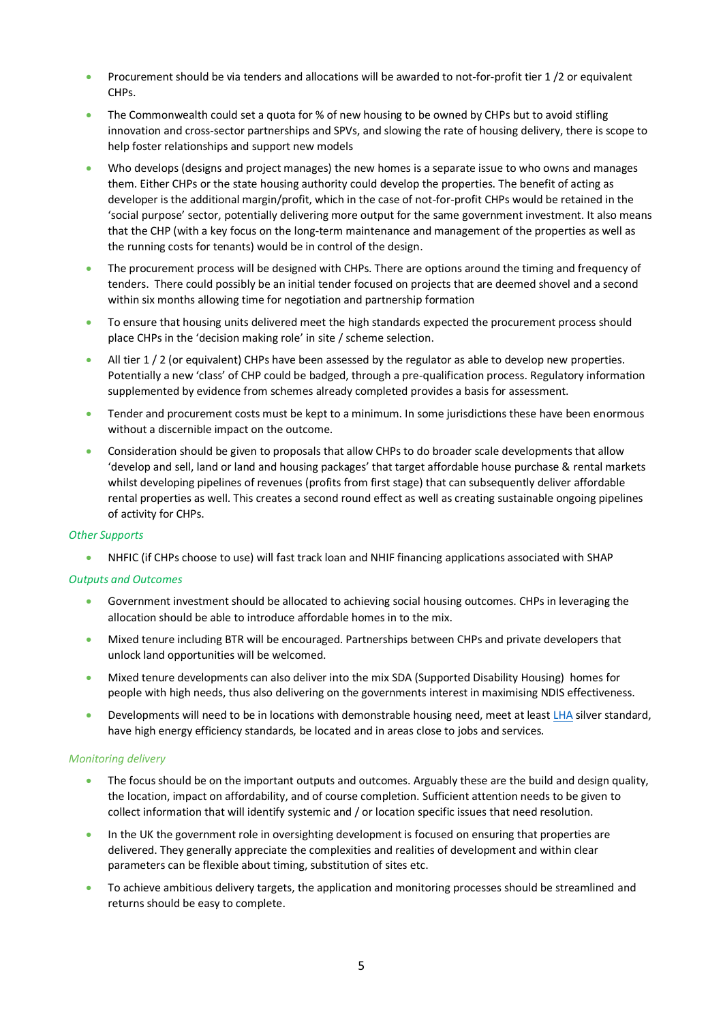- Procurement should be via tenders and allocations will be awarded to not-for-profit tier 1 /2 or equivalent CHPs.
- The Commonwealth could set a quota for % of new housing to be owned by CHPs but to avoid stifling innovation and cross-sector partnerships and SPVs, and slowing the rate of housing delivery, there is scope to help foster relationships and support new models
- Who develops (designs and project manages) the new homes is a separate issue to who owns and manages them. Either CHPs or the state housing authority could develop the properties. The benefit of acting as developer is the additional margin/profit, which in the case of not-for-profit CHPs would be retained in the 'social purpose' sector, potentially delivering more output for the same government investment. It also means that the CHP (with a key focus on the long-term maintenance and management of the properties as well as the running costs for tenants) would be in control of the design.
- The procurement process will be designed with CHPs. There are options around the timing and frequency of tenders. There could possibly be an initial tender focused on projects that are deemed shovel and a second within six months allowing time for negotiation and partnership formation
- To ensure that housing units delivered meet the high standards expected the procurement process should place CHPs in the 'decision making role' in site / scheme selection.
- All tier  $1/2$  (or equivalent) CHPs have been assessed by the regulator as able to develop new properties. Potentially a new 'class' of CHP could be badged, through a pre-qualification process. Regulatory information supplemented by evidence from schemes already completed provides a basis for assessment.
- Tender and procurement costs must be kept to a minimum. In some jurisdictions these have been enormous without a discernible impact on the outcome.
- Consideration should be given to proposals that allow CHPs to do broader scale developments that allow 'develop and sell, land or land and housing packages' that target affordable house purchase & rental markets whilst developing pipelines of revenues (profits from first stage) that can subsequently deliver affordable rental properties as well. This creates a second round effect as well as creating sustainable ongoing pipelines of activity for CHPs.

# *Other Supports*

• NHFIC (if CHPs choose to use) will fast track loan and NHIF financing applications associated with SHAP

# *Outputs and Outcomes*

- Government investment should be allocated to achieving social housing outcomes. CHPs in leveraging the allocation should be able to introduce affordable homes in to the mix.
- Mixed tenure including BTR will be encouraged. Partnerships between CHPs and private developers that unlock land opportunities will be welcomed.
- Mixed tenure developments can also deliver into the mix SDA (Supported Disability Housing) homes for people with high needs, thus also delivering on the governments interest in maximising NDIS effectiveness.
- Developments will need to be in locations with demonstrable housing need, meet at leas[t LHA](http://livablehousingaustralia.org.au/) silver standard, have high energy efficiency standards, be located and in areas close to jobs and services.

# *Monitoring delivery*

- The focus should be on the important outputs and outcomes. Arguably these are the build and design quality, the location, impact on affordability, and of course completion. Sufficient attention needs to be given to collect information that will identify systemic and / or location specific issues that need resolution.
- In the UK the government role in oversighting development is focused on ensuring that properties are delivered. They generally appreciate the complexities and realities of development and within clear parameters can be flexible about timing, substitution of sites etc.
- To achieve ambitious delivery targets, the application and monitoring processes should be streamlined and returns should be easy to complete.